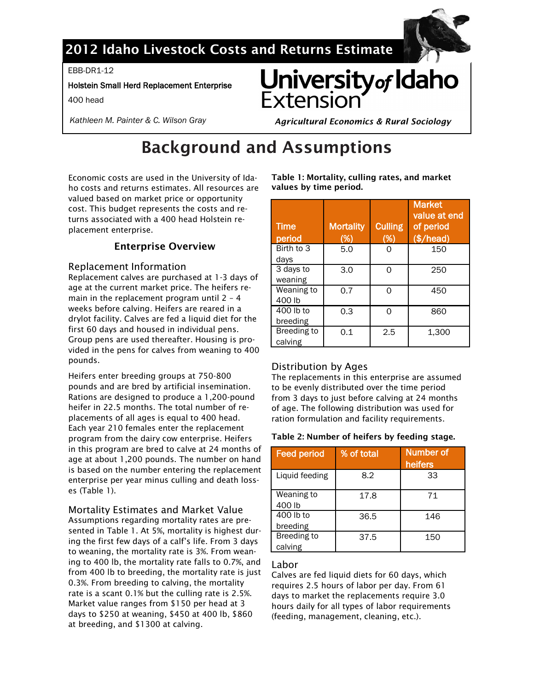

# **2012 Idaho Livestock Costs and Returns Estimate**

EBB-DR1-12

### Holstein Small Herd Replacement Enterprise

400 head

*Kathleen M. Painter & C. Wilson Gray* 

University of Idaho *Agricultural Economics & Rural Sociology*

# **Background and Assumptions**

Economic costs are used in the University of Idaho costs and returns estimates. All resources are valued based on market price or opportunity cost. This budget represents the costs and returns associated with a 400 head Holstein replacement enterprise.

# **Enterprise Overview**

### Replacement Information

Replacement calves are purchased at 1-3 days of age at the current market price. The heifers remain in the replacement program until 2 – 4 weeks before calving. Heifers are reared in a drylot facility. Calves are fed a liquid diet for the first 60 days and housed in individual pens. Group pens are used thereafter. Housing is provided in the pens for calves from weaning to 400 pounds.

Heifers enter breeding groups at 750-800 pounds and are bred by artificial insemination. Rations are designed to produce a 1,200-pound heifer in 22.5 months. The total number of replacements of all ages is equal to 400 head. Each year 210 females enter the replacement program from the dairy cow enterprise. Heifers in this program are bred to calve at 24 months of age at about 1,200 pounds. The number on hand is based on the number entering the replacement enterprise per year minus culling and death losses (Table 1).

### Mortality Estimates and Market Value

Assumptions regarding mortality rates are presented in Table 1. At 5%, mortality is highest during the first few days of a calf's life. From 3 days to weaning, the mortality rate is 3%. From weaning to 400 lb, the mortality rate falls to 0.7%, and from 400 lb to breeding, the mortality rate is just 0.3%. From breeding to calving, the mortality rate is a scant 0.1% but the culling rate is 2.5%. Market value ranges from \$150 per head at 3 days to \$250 at weaning, \$450 at 400 lb, \$860 at breeding, and \$1300 at calving.

**Table 1: Mortality, culling rates, and market values by time period.**

| <b>Time</b><br>period  | <b>Mortality</b><br>(%) | <b>Culling</b><br>(%) | <b>Market</b><br>value at end<br>of period<br>$(*/head)$ |
|------------------------|-------------------------|-----------------------|----------------------------------------------------------|
| Birth to 3<br>days     | 5.0                     | n                     | 150                                                      |
| 3 days to<br>weaning   | 3.0                     | ∩                     | 250                                                      |
| Weaning to<br>400 lb   | 0.7                     | ∩                     | 450                                                      |
| 400 lb to<br>breeding  | 0.3                     | ∩                     | 860                                                      |
| Breeding to<br>calving | 0.1                     | 2.5                   | 1,300                                                    |

# Distribution by Ages

The replacements in this enterprise are assumed to be evenly distributed over the time period from 3 days to just before calving at 24 months of age. The following distribution was used for ration formulation and facility requirements.

### **Table 2: Number of heifers by feeding stage.**

| <b>Feed period</b>     | % of total | <b>Number of</b><br>heifers |
|------------------------|------------|-----------------------------|
| Liquid feeding         | 8.2        | 33                          |
| Weaning to<br>400 lb   | 17.8       | 71                          |
| 400 lb to<br>breeding  | 36.5       | 146                         |
| Breeding to<br>calving | 37.5       | 150                         |

### Labor

Calves are fed liquid diets for 60 days, which requires 2.5 hours of labor per day. From 61 days to market the replacements require 3.0 hours daily for all types of labor requirements (feeding, management, cleaning, etc.).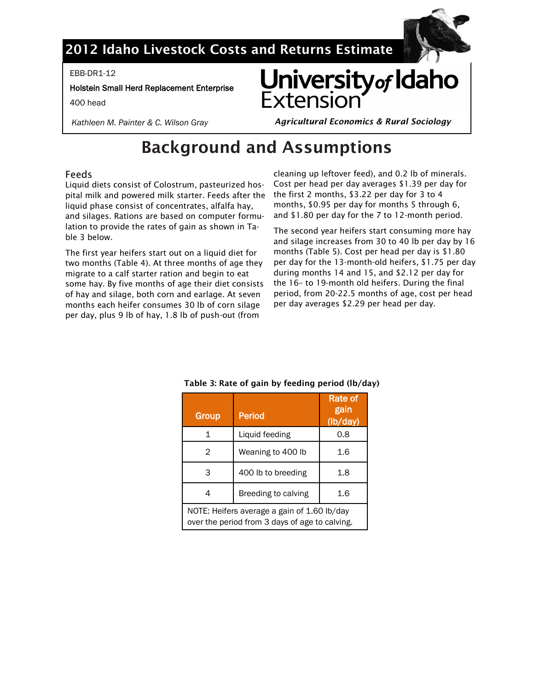

# **2012 Idaho Livestock Costs and Returns Estimate**

EBB-DR1-12

Holstein Small Herd Replacement Enterprise

400 head

*Kathleen M. Painter & C. Wilson Gray* 



*Agricultural Economics & Rural Sociology*

# **Background and Assumptions**

# Feeds

Liquid diets consist of Colostrum, pasteurized hospital milk and powered milk starter. Feeds after the liquid phase consist of concentrates, alfalfa hay, and silages. Rations are based on computer formulation to provide the rates of gain as shown in Table 3 below.

The first year heifers start out on a liquid diet for two months (Table 4). At three months of age they migrate to a calf starter ration and begin to eat some hay. By five months of age their diet consists of hay and silage, both corn and earlage. At seven months each heifer consumes 30 lb of corn silage per day, plus 9 lb of hay, 1.8 lb of push-out (from

cleaning up leftover feed), and 0.2 lb of minerals. Cost per head per day averages \$1.39 per day for the first 2 months, \$3.22 per day for 3 to 4 months, \$0.95 per day for months 5 through 6, and \$1.80 per day for the 7 to 12-month period.

The second year heifers start consuming more hay and silage increases from 30 to 40 lb per day by 16 months (Table 5). Cost per head per day is \$1.80 per day for the 13-month-old heifers, \$1.75 per day during months 14 and 15, and \$2.12 per day for the 16– to 19-month old heifers. During the final period, from 20-22.5 months of age, cost per head per day averages \$2.29 per head per day.

| <b>Group</b> | <b>Period</b>                                                                                 | Rate of<br>gain<br>(lb/day) |  |  |  |  |  |
|--------------|-----------------------------------------------------------------------------------------------|-----------------------------|--|--|--|--|--|
| 1            | Liquid feeding                                                                                | 0.8                         |  |  |  |  |  |
| 2            | Weaning to 400 lb                                                                             | 1.6                         |  |  |  |  |  |
| 3            | 400 lb to breeding                                                                            | 1.8                         |  |  |  |  |  |
| 4            | Breeding to calving                                                                           |                             |  |  |  |  |  |
|              | NOTE: Heifers average a gain of 1.60 lb/day<br>over the period from 3 days of age to calving. |                             |  |  |  |  |  |

# **Table 3: Rate of gain by feeding period (lb/day)**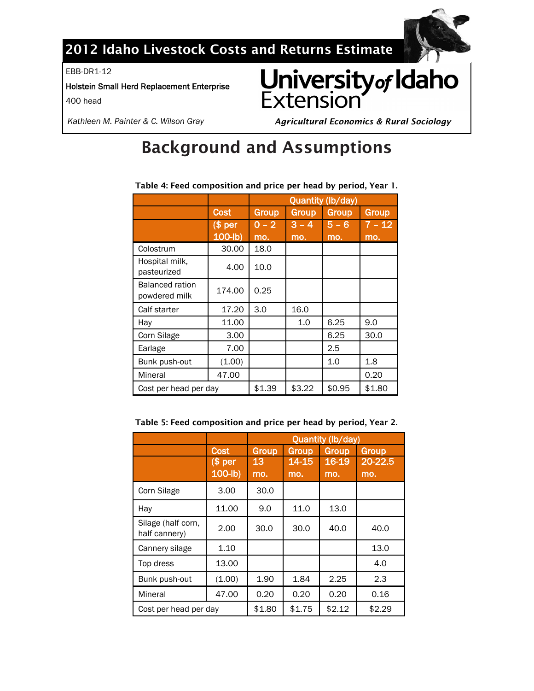

# **2012 Idaho Livestock Costs and Returns Estimate**

EBB-DR1-12

Holstein Small Herd Replacement Enterprise

400 head



*Kathleen M. Painter & C. Wilson Gray* 

*Agricultural Economics & Rural Sociology*

# **Background and Assumptions**

|                                         |            | Quantity (lb/day) |              |         |          |  |  |  |  |
|-----------------------------------------|------------|-------------------|--------------|---------|----------|--|--|--|--|
|                                         | Cost       | <b>Group</b>      | <b>Group</b> | Group   | Group    |  |  |  |  |
|                                         | $$$ per    | $0 - 2$           | $3 - 4$      | $5 - 6$ | $7 - 12$ |  |  |  |  |
|                                         | $100$ -lb) | mo.               | mo.          | mo.     | mo.      |  |  |  |  |
| Colostrum                               | 30.00      | 18.0              |              |         |          |  |  |  |  |
| Hospital milk.<br>pasteurized           | 4.00       | 10.0              |              |         |          |  |  |  |  |
| <b>Balanced ration</b><br>powdered milk | 174.00     | 0.25              |              |         |          |  |  |  |  |
| Calf starter                            | 17.20      | 3.0               | 16.0         |         |          |  |  |  |  |
| Hay                                     | 11.00      |                   | 1.0          | 6.25    | 9.0      |  |  |  |  |
| Corn Silage                             | 3.00       |                   |              | 6.25    | 30.0     |  |  |  |  |
| Earlage                                 | 7.00       |                   |              | 2.5     |          |  |  |  |  |
| Bunk push-out                           | (1.00)     |                   |              | 1.0     | 1.8      |  |  |  |  |
| Mineral                                 | 47.00      |                   |              |         | 0.20     |  |  |  |  |
| Cost per head per day                   |            | \$1.39            | \$3.22       | \$0.95  | \$1.80   |  |  |  |  |

**Table 4: Feed composition and price per head by period, Year 1.**

| Table 5: Feed composition and price per head by period, Year 2. |  |  |  |
|-----------------------------------------------------------------|--|--|--|
|                                                                 |  |  |  |

|                                     |             | Quantity (lb/day) |                |        |         |  |  |  |  |  |
|-------------------------------------|-------------|-------------------|----------------|--------|---------|--|--|--|--|--|
|                                     | <b>Cost</b> | Group             | Group<br>Group |        | Group   |  |  |  |  |  |
|                                     | $$$ per     | 13                | 14-15          | 16-19  | 20-22.5 |  |  |  |  |  |
|                                     | $100$ -lb)  | mo.               | mo.            | mo.    | mo.     |  |  |  |  |  |
| Corn Silage                         | 3.00        | 30.0              |                |        |         |  |  |  |  |  |
| Hay                                 | 11.00       | 9.0               | 11.0           | 13.0   |         |  |  |  |  |  |
| Silage (half corn,<br>half cannery) | 2.00        | 30.0              | 30.0           | 40.0   | 40.0    |  |  |  |  |  |
| Cannery silage                      | 1.10        |                   |                |        | 13.0    |  |  |  |  |  |
| Top dress                           | 13.00       |                   |                |        | 4.0     |  |  |  |  |  |
| Bunk push-out                       | (1.00)      | 1.90              | 1.84           | 2.25   | 2.3     |  |  |  |  |  |
| Mineral                             | 47.00       | 0.20              | 0.20           | 0.20   | 0.16    |  |  |  |  |  |
| Cost per head per day               |             | \$1.80            | \$1.75         | \$2.12 | \$2.29  |  |  |  |  |  |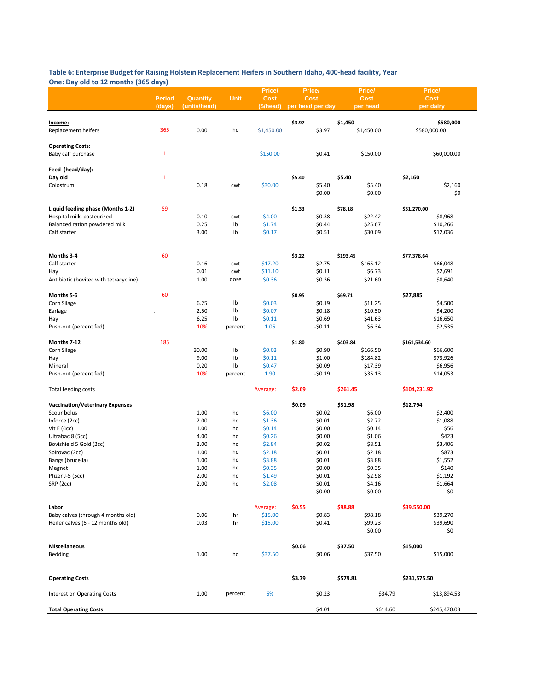#### **Table 6: Enterprise Budget for Raising Holstein Replacement Heifers in Southern Idaho, 400-head facility, Year One: Day old to 12 months (365 days)**

|                                        |               |              |             | Price/      |                  | Price/   |          | Price/     |              | Price/       |
|----------------------------------------|---------------|--------------|-------------|-------------|------------------|----------|----------|------------|--------------|--------------|
|                                        | <b>Period</b> | Quantity     | <b>Unit</b> | <b>Cost</b> |                  | Cost     |          | Cost       |              | Cost         |
|                                        | (days)        | (units/head) |             | (\$/head)   | per head per day |          |          | per head   |              | per dairy    |
|                                        |               |              |             |             |                  |          |          |            |              |              |
| Income:                                |               |              |             |             | \$3.97           |          | \$1,450  |            |              | \$580,000    |
| Replacement heifers                    | 365           | 0.00         | hd          | \$1,450.00  |                  | \$3.97   |          | \$1,450.00 |              | \$580,000.00 |
|                                        |               |              |             |             |                  |          |          |            |              |              |
| <b>Operating Costs:</b>                |               |              |             |             |                  |          |          |            |              |              |
| Baby calf purchase                     | $\mathbf{1}$  |              |             | \$150.00    |                  | \$0.41   |          | \$150.00   |              | \$60,000.00  |
|                                        |               |              |             |             |                  |          |          |            |              |              |
| Feed (head/day):                       |               |              |             |             |                  |          |          |            |              |              |
| Day old                                | $\mathbf{1}$  |              |             |             | \$5.40           |          | \$5.40   |            | \$2,160      |              |
| Colostrum                              |               | 0.18         | cwt         | \$30.00     |                  | \$5.40   |          | \$5.40     |              | \$2,160      |
|                                        |               |              |             |             |                  | \$0.00   |          | \$0.00     |              | \$0          |
|                                        |               |              |             |             |                  |          |          |            |              |              |
| Liquid feeding phase (Months 1-2)      | 59            |              |             |             |                  |          | \$78.18  |            |              |              |
|                                        |               |              |             |             | \$1.33           |          |          |            | \$31,270.00  |              |
| Hospital milk, pasteurized             |               | 0.10         | cwt         | \$4.00      |                  | \$0.38   |          | \$22.42    |              | \$8,968      |
| Balanced ration powdered milk          |               | 0.25         | Ib          | \$1.74      |                  | \$0.44   |          | \$25.67    |              | \$10,266     |
| Calf starter                           |               | 3.00         | Ib          | \$0.17      |                  | \$0.51   |          | \$30.09    |              | \$12,036     |
|                                        |               |              |             |             |                  |          |          |            |              |              |
|                                        |               |              |             |             |                  |          |          |            |              |              |
| Months 3-4                             | 60            |              |             |             | \$3.22           |          | \$193.45 |            | \$77,378.64  |              |
| Calf starter                           |               | 0.16         | cwt         | \$17.20     |                  | \$2.75   |          | \$165.12   |              | \$66,048     |
| Hay                                    |               | 0.01         | cwt         | \$11.10     |                  | \$0.11   |          | \$6.73     |              | \$2,691      |
| Antibiotic (bovitec with tetracycline) |               | 1.00         | dose        | \$0.36      |                  | \$0.36   |          | \$21.60    |              | \$8,640      |
|                                        |               |              |             |             |                  |          |          |            |              |              |
| Months 5-6                             | 60            |              |             |             | \$0.95           |          | \$69.71  |            | \$27,885     |              |
| Corn Silage                            |               | 6.25         | lb          | \$0.03      |                  | \$0.19   |          | \$11.25    |              | \$4,500      |
| Earlage                                |               | 2.50         | Ib          | \$0.07      |                  | \$0.18   |          | \$10.50    |              | \$4,200      |
| Hay                                    |               | 6.25         | Ib          | \$0.11      |                  | \$0.69   |          | \$41.63    |              | \$16,650     |
| Push-out (percent fed)                 |               | 10%          | percent     | 1.06        |                  | $-50.11$ |          | \$6.34     |              | \$2,535      |
|                                        |               |              |             |             |                  |          |          |            |              |              |
| Months 7-12                            | 185           |              |             |             | \$1.80           |          | \$403.84 |            | \$161,534.60 |              |
| Corn Silage                            |               | 30.00        | lb          | \$0.03      |                  | \$0.90   |          | \$166.50   |              | \$66,600     |
| Hay                                    |               | 9.00         | Ib          | \$0.11      |                  | \$1.00   |          | \$184.82   |              | \$73,926     |
|                                        |               | 0.20         | lb          |             |                  | \$0.09   |          |            |              |              |
| Mineral                                |               |              |             | \$0.47      |                  |          |          | \$17.39    |              | \$6,956      |
| Push-out (percent fed)                 |               | 10%          | percent     | 1.90        |                  | -\$0.19  |          | \$35.13    |              | \$14,053     |
|                                        |               |              |             |             |                  |          |          |            |              |              |
| Total feeding costs                    |               |              |             | Average:    | \$2.69           |          | \$261.45 |            | \$104,231.92 |              |
|                                        |               |              |             |             |                  |          |          |            |              |              |
| <b>Vaccination/Veterinary Expenses</b> |               |              |             |             | \$0.09           |          | \$31.98  |            | \$12,794     |              |
| Scour bolus                            |               | 1.00         | hd          | \$6.00      |                  | \$0.02   |          | \$6.00     |              | \$2,400      |
| Inforce (2cc)                          |               | 2.00         | hd          | \$1.36      |                  | \$0.01   |          | \$2.72     |              | \$1,088      |
| Vit $E(4cc)$                           |               | 1.00         | hd          | \$0.14      |                  | \$0.00   |          | \$0.14     |              | \$56         |
| Ultrabac 8 (5cc)                       |               | 4.00         | hd          | \$0.26      |                  | \$0.00   |          | \$1.06     |              | \$423        |
| Bovishield 5 Gold (2cc)                |               | 3.00         | hd          | \$2.84      |                  | \$0.02   |          | \$8.51     |              | \$3,406      |
| Spirovac (2cc)                         |               | 1.00         | hd          | \$2.18      |                  | \$0.01   |          | \$2.18     |              | \$873        |
| Bangs (brucella)                       |               | 1.00         | hd          | \$3.88      |                  | \$0.01   |          | \$3.88     |              | \$1,552      |
| Magnet                                 |               | 1.00         | hd          | \$0.35      |                  | \$0.00   |          | \$0.35     |              | \$140        |
| Pfizer J-5 (5cc)                       |               | 2.00         | hd          | \$1.49      |                  | \$0.01   |          | \$2.98     |              | \$1,192      |
| SRP (2cc)                              |               | 2.00         | hd          | \$2.08      |                  | \$0.01   |          | \$4.16     |              | \$1,664      |
|                                        |               |              |             |             |                  | \$0.00   |          | \$0.00     |              | \$0          |
|                                        |               |              |             |             |                  |          |          |            |              |              |
| Labor                                  |               |              |             | Average:    | \$0.55           |          | \$98.88  |            | \$39,550.00  |              |
| Baby calves (through 4 months old)     |               | 0.06         | hr          | \$15.00     |                  | \$0.83   |          | \$98.18    |              | \$39,270     |
| Heifer calves (5 - 12 months old)      |               | 0.03         | hr          | \$15.00     |                  | \$0.41   |          | \$99.23    |              | \$39,690     |
|                                        |               |              |             |             |                  |          |          |            |              |              |
|                                        |               |              |             |             |                  |          |          | \$0.00     |              | \$0          |
|                                        |               |              |             |             |                  |          |          |            |              |              |
| <b>Miscellaneous</b>                   |               |              |             |             | \$0.06           |          | \$37.50  |            | \$15,000     |              |
| Bedding                                |               | 1.00         | hd          | \$37.50     |                  | \$0.06   |          | \$37.50    |              | \$15,000     |
|                                        |               |              |             |             |                  |          |          |            |              |              |
|                                        |               |              |             |             |                  |          |          |            |              |              |
| <b>Operating Costs</b>                 |               |              |             |             | \$3.79           |          | \$579.81 |            | \$231,575.50 |              |
|                                        |               |              |             |             |                  |          |          |            |              |              |
| Interest on Operating Costs            |               | 1.00         | percent     | 6%          |                  | \$0.23   |          | \$34.79    |              | \$13,894.53  |
|                                        |               |              |             |             |                  |          |          |            |              |              |
| <b>Total Operating Costs</b>           |               |              |             |             |                  | \$4.01   |          | \$614.60   |              | \$245,470.03 |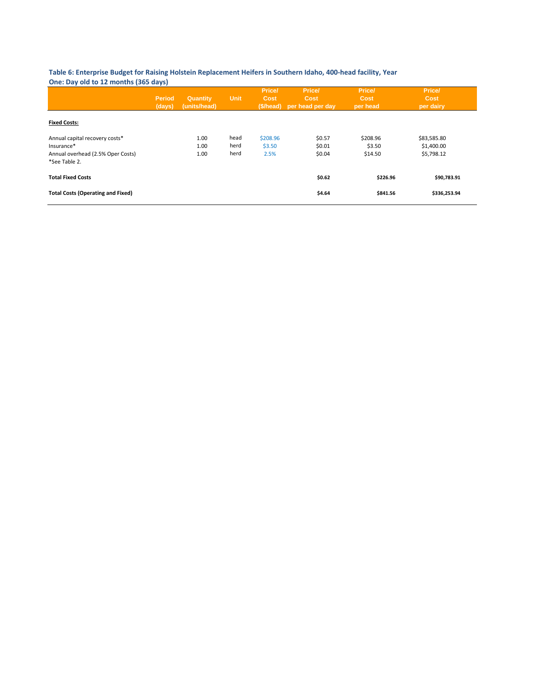#### **Table 6: Enterprise Budget for Raising Holstein Replacement Heifers in Southern Idaho, 400-head facility, Year One: Day old to 12 months (365 days)**

|                                                                                                    | <b>Period</b><br>(days) | Quantity<br>(units/head) | <b>Unit</b>          | Price/<br>Cost<br>(\$/head) | Price/<br>Cost<br>per head per day | Price/<br>Cost<br>per head    | Price/<br>Cost<br>per dairy             |
|----------------------------------------------------------------------------------------------------|-------------------------|--------------------------|----------------------|-----------------------------|------------------------------------|-------------------------------|-----------------------------------------|
| <b>Fixed Costs:</b>                                                                                |                         |                          |                      |                             |                                    |                               |                                         |
| Annual capital recovery costs*<br>Insurance*<br>Annual overhead (2.5% Oper Costs)<br>*See Table 2. |                         | 1.00<br>1.00<br>1.00     | head<br>herd<br>herd | \$208.96<br>\$3.50<br>2.5%  | \$0.57<br>\$0.01<br>\$0.04         | \$208.96<br>\$3.50<br>\$14.50 | \$83,585.80<br>\$1,400.00<br>\$5,798.12 |
| <b>Total Fixed Costs</b>                                                                           |                         |                          |                      |                             | \$0.62                             | \$226.96                      | \$90,783.91                             |
| <b>Total Costs (Operating and Fixed)</b>                                                           |                         |                          |                      |                             | \$4.64                             | \$841.56                      | \$336,253.94                            |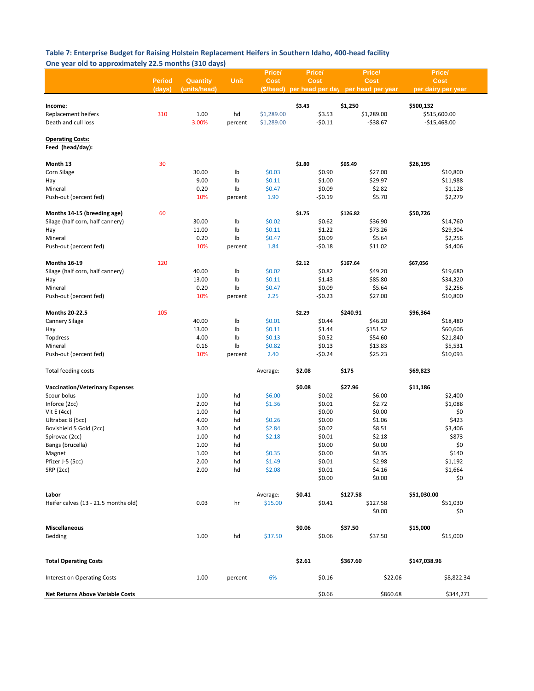#### **Table 7: Enterprise Budget for Raising Holstein Replacement Heifers in Southern Idaho, 400-head facility One year old to approximately 22.5 months (310 days)**

|                                                                 |               |              |             | Price/      | Price/ |          | Price/                             | Price/             |            |
|-----------------------------------------------------------------|---------------|--------------|-------------|-------------|--------|----------|------------------------------------|--------------------|------------|
|                                                                 | <b>Period</b> | Quantity     | <b>Unit</b> | <b>Cost</b> | Cost   |          | <b>Cost</b>                        | <b>Cost</b>        |            |
|                                                                 | (days)        | (units/head) |             | (\$/head)   |        |          | per head per day per head per year | per dairy per year |            |
|                                                                 |               |              |             |             |        |          |                                    |                    |            |
| <u>Income:</u>                                                  |               |              |             |             | \$3.43 |          | \$1,250                            | \$500,132          |            |
| Replacement heifers                                             | 310           | 1.00         | hd          | \$1,289.00  |        | \$3.53   | \$1,289.00                         | \$515,600.00       |            |
| Death and cull loss                                             |               | 3.00%        | percent     | \$1,289.00  |        | $-50.11$ | $-538.67$                          | $-$15,468.00$      |            |
| <b>Operating Costs:</b><br>Feed (head/day):                     |               |              |             |             |        |          |                                    |                    |            |
|                                                                 |               |              |             |             |        |          |                                    |                    |            |
| Month 13                                                        | 30            |              |             |             | \$1.80 |          | \$65.49                            | \$26,195           |            |
| Corn Silage                                                     |               | 30.00        | Ib          | \$0.03      |        | \$0.90   | \$27.00                            |                    | \$10,800   |
| Hay                                                             |               | 9.00         | Ib          | \$0.11      |        | \$1.00   | \$29.97                            |                    | \$11,988   |
| Mineral                                                         |               | 0.20         | Ib          | \$0.47      |        | \$0.09   | \$2.82                             |                    | \$1,128    |
| Push-out (percent fed)                                          |               | 10%          | percent     | 1.90        |        | $-50.19$ | \$5.70                             |                    | \$2,279    |
|                                                                 |               |              |             |             |        |          |                                    |                    |            |
| Months 14-15 (breeding age)<br>Silage (half corn, half cannery) | 60            | 30.00        | Ib          | \$0.02      | \$1.75 | \$0.62   | \$126.82<br>\$36.90                | \$50,726           | \$14,760   |
| Hay                                                             |               | 11.00        | Ib          | \$0.11      |        | \$1.22   | \$73.26                            |                    | \$29,304   |
| Mineral                                                         |               | 0.20         | Ib          | \$0.47      |        | \$0.09   | \$5.64                             |                    | \$2,256    |
| Push-out (percent fed)                                          |               | 10%          | percent     | 1.84        |        | $-50.18$ | \$11.02                            |                    | \$4,406    |
|                                                                 |               |              |             |             |        |          |                                    |                    |            |
| <b>Months 16-19</b>                                             | 120           |              |             |             | \$2.12 |          | \$167.64                           | \$67,056           |            |
| Silage (half corn, half cannery)                                |               | 40.00        | Ib          | \$0.02      |        | \$0.82   | \$49.20                            |                    | \$19,680   |
| Hay                                                             |               | 13.00        | Ib          | \$0.11      |        | \$1.43   | \$85.80                            |                    | \$34,320   |
| Mineral                                                         |               | 0.20         | Ib          | \$0.47      |        | \$0.09   | \$5.64                             |                    | \$2,256    |
| Push-out (percent fed)                                          |               | 10%          | percent     | 2.25        |        | $-50.23$ | \$27.00                            |                    | \$10,800   |
| <b>Months 20-22.5</b>                                           | 105           |              |             |             | \$2.29 |          | \$240.91                           | \$96,364           |            |
| Cannery Silage                                                  |               | 40.00        | Ib          | \$0.01      |        | \$0.44   | \$46.20                            |                    | \$18,480   |
| Hay                                                             |               | 13.00        | lb          | \$0.11      |        | \$1.44   | \$151.52                           |                    | \$60,606   |
| Topdress                                                        |               | 4.00         | Ib          | \$0.13      |        | \$0.52   | \$54.60                            |                    | \$21,840   |
| Mineral                                                         |               | 0.16         | Ib          | \$0.82      |        | \$0.13   | \$13.83                            |                    | \$5,531    |
| Push-out (percent fed)                                          |               | 10%          | percent     | 2.40        |        | $-50.24$ | \$25.23                            |                    | \$10,093   |
|                                                                 |               |              |             |             |        |          |                                    |                    |            |
| <b>Total feeding costs</b>                                      |               |              |             | Average:    | \$2.08 |          | \$175                              | \$69,823           |            |
| <b>Vaccination/Veterinary Expenses</b>                          |               |              |             |             | \$0.08 |          | \$27.96                            | \$11,186           |            |
| Scour bolus                                                     |               | 1.00         | hd          | \$6.00      |        | \$0.02   | \$6.00                             |                    | \$2,400    |
| Inforce (2cc)                                                   |               | 2.00         | hd          | \$1.36      |        | \$0.01   | \$2.72                             |                    | \$1,088    |
| Vit E (4cc)                                                     |               | 1.00         | hd          |             |        | \$0.00   | \$0.00                             |                    | \$0        |
| Ultrabac 8 (5cc)                                                |               | 4.00         | hd          | \$0.26      |        | \$0.00   | \$1.06                             |                    | \$423      |
| Bovishield 5 Gold (2cc)                                         |               | 3.00         | hd          | \$2.84      |        | \$0.02   | \$8.51                             |                    | \$3,406    |
| Spirovac (2cc)                                                  |               | 1.00         | hd          | \$2.18      |        | \$0.01   | \$2.18                             |                    | \$873      |
| Bangs (brucella)                                                |               | 1.00         | hd          |             |        | \$0.00   | \$0.00                             |                    | \$0        |
| Magnet                                                          |               | 1.00         | hd          | \$0.35      |        | \$0.00   | \$0.35                             |                    | \$140      |
| Pfizer J-5 (5cc)                                                |               | 2.00         | hd          | \$1.49      |        | \$0.01   | \$2.98                             |                    | \$1,192    |
| SRP (2cc)                                                       |               | 2.00         | hd          | \$2.08      |        | \$0.01   | \$4.16                             |                    | \$1,664    |
|                                                                 |               |              |             |             |        | \$0.00   | \$0.00                             |                    | \$0        |
| Labor                                                           |               |              |             | Average:    | \$0.41 |          | \$127.58                           | \$51,030.00        |            |
| Heifer calves (13 - 21.5 months old)                            |               | 0.03         | hr          | \$15.00     |        | \$0.41   | \$127.58                           |                    | \$51,030   |
|                                                                 |               |              |             |             |        |          | \$0.00                             |                    | \$0        |
|                                                                 |               |              |             |             |        |          |                                    |                    |            |
| <b>Miscellaneous</b>                                            |               |              |             |             | \$0.06 |          | \$37.50                            | \$15,000           |            |
| Bedding                                                         |               | 1.00         | hd          | \$37.50     |        | \$0.06   | \$37.50                            |                    | \$15,000   |
| <b>Total Operating Costs</b>                                    |               |              |             |             | \$2.61 |          | \$367.60                           | \$147,038.96       |            |
| <b>Interest on Operating Costs</b>                              |               | 1.00         | percent     | 6%          |        | \$0.16   | \$22.06                            |                    | \$8,822.34 |
| <b>Net Returns Above Variable Costs</b>                         |               |              |             |             |        | \$0.66   | \$860.68                           |                    | \$344,271  |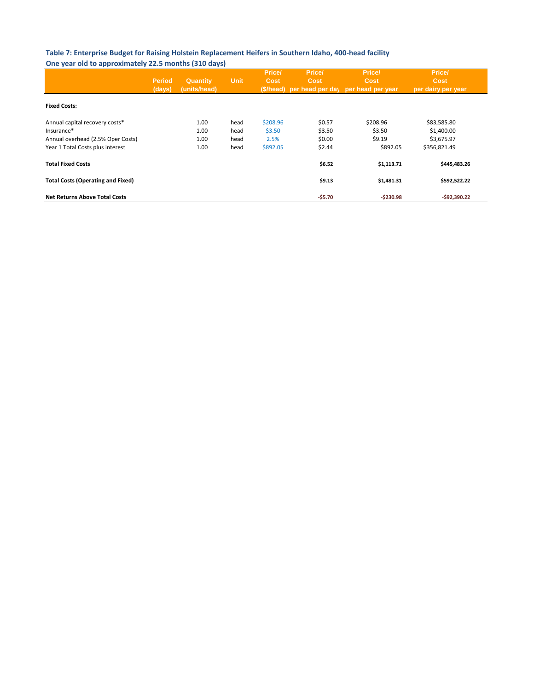#### **Table 7: Enterprise Budget for Raising Holstein Replacement Heifers in Southern Idaho, 400-head facility One year old to approximately 22.5 months (310 days)**

|                                                 | <b>Period</b><br>(days) | <b>Quantity</b><br>(units/head) | <b>Unit</b>  | Price/<br>Cost<br>(\$/head) | Price/<br>Cost   | Price/<br>Cost<br>per head per day per head per year | Price/<br><b>Cost</b><br>per dairy per year |  |
|-------------------------------------------------|-------------------------|---------------------------------|--------------|-----------------------------|------------------|------------------------------------------------------|---------------------------------------------|--|
| <b>Fixed Costs:</b>                             |                         |                                 |              |                             |                  |                                                      |                                             |  |
| Annual capital recovery costs*                  |                         | 1.00                            | head         | \$208.96                    | \$0.57           | \$208.96                                             | \$83,585.80                                 |  |
| Insurance*<br>Annual overhead (2.5% Oper Costs) |                         | 1.00<br>1.00                    | head<br>head | \$3.50<br>2.5%              | \$3.50<br>\$0.00 | \$3.50<br>\$9.19                                     | \$1,400.00<br>\$3,675.97                    |  |
| Year 1 Total Costs plus interest                |                         | 1.00                            | head         | \$892.05                    | \$2.44           | \$892.05                                             | \$356,821.49                                |  |
| <b>Total Fixed Costs</b>                        |                         |                                 |              |                             | \$6.52           | \$1,113.71                                           | \$445,483.26                                |  |
| <b>Total Costs (Operating and Fixed)</b>        |                         |                                 |              |                             | \$9.13           | \$1,481.31                                           | \$592,522.22                                |  |
| <b>Net Returns Above Total Costs</b>            |                         |                                 |              |                             | $-55.70$         | $-5230.98$                                           | $-592.390.22$                               |  |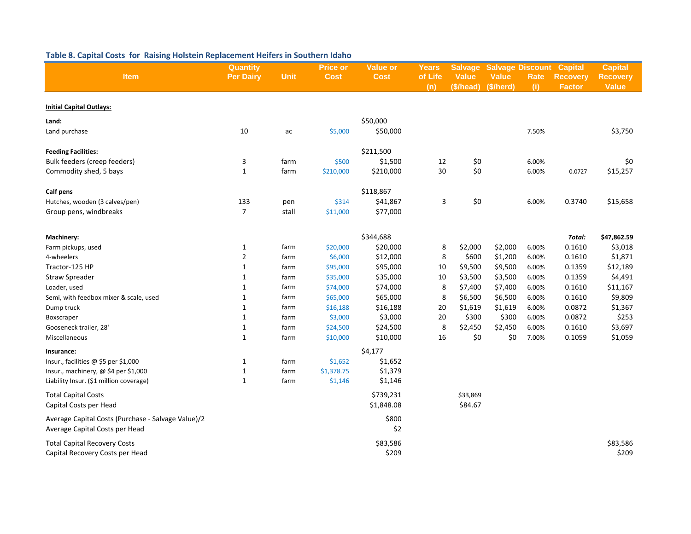| Item                                                                                 | Quantity<br><b>Per Dairy</b> | <b>Unit</b> | <b>Price or</b><br><b>Cost</b> | <b>Value or</b><br><b>Cost</b> | <b>Years</b><br>of Life<br>(n) | <b>Salvage</b><br><b>Value</b><br>(\$/head) | <b>Value</b><br>(\$/herd) | <b>Salvage Discount</b><br><b>Rate</b><br>(i) | <b>Capital</b><br><b>Recovery</b><br><b>Factor</b> | <b>Capital</b><br><b>Recovery</b><br><b>Value</b> |
|--------------------------------------------------------------------------------------|------------------------------|-------------|--------------------------------|--------------------------------|--------------------------------|---------------------------------------------|---------------------------|-----------------------------------------------|----------------------------------------------------|---------------------------------------------------|
| <b>Initial Capital Outlays:</b>                                                      |                              |             |                                |                                |                                |                                             |                           |                                               |                                                    |                                                   |
| Land:                                                                                |                              |             |                                | \$50,000                       |                                |                                             |                           |                                               |                                                    |                                                   |
| Land purchase                                                                        | 10                           | ac          | \$5,000                        | \$50,000                       |                                |                                             |                           | 7.50%                                         |                                                    | \$3,750                                           |
| <b>Feeding Facilities:</b>                                                           |                              |             |                                | \$211,500                      |                                |                                             |                           |                                               |                                                    |                                                   |
| Bulk feeders (creep feeders)                                                         | 3                            | farm        | \$500                          | \$1,500                        | 12                             | \$0                                         |                           | 6.00%                                         |                                                    | \$0                                               |
| Commodity shed, 5 bays                                                               | $\mathbf{1}$                 | farm        | \$210,000                      | \$210,000                      | 30                             | \$0                                         |                           | 6.00%                                         | 0.0727                                             | \$15,257                                          |
| Calf pens                                                                            |                              |             |                                | \$118,867                      |                                |                                             |                           |                                               |                                                    |                                                   |
| Hutches, wooden (3 calves/pen)                                                       | 133                          | pen         | \$314                          | \$41,867                       | 3                              | \$0                                         |                           | 6.00%                                         | 0.3740                                             | \$15,658                                          |
| Group pens, windbreaks                                                               | $\overline{7}$               | stall       | \$11,000                       | \$77,000                       |                                |                                             |                           |                                               |                                                    |                                                   |
| Machinery:                                                                           |                              |             |                                | \$344,688                      |                                |                                             |                           |                                               | Total:                                             | \$47,862.59                                       |
| Farm pickups, used                                                                   | $\mathbf{1}$                 | farm        | \$20,000                       | \$20,000                       | 8                              | \$2,000                                     | \$2,000                   | 6.00%                                         | 0.1610                                             | \$3,018                                           |
| 4-wheelers                                                                           | $\mathbf 2$                  | farm        | \$6,000                        | \$12,000                       | 8                              | \$600                                       | \$1,200                   | 6.00%                                         | 0.1610                                             | \$1,871                                           |
| Tractor-125 HP                                                                       | $\mathbf{1}$                 | farm        | \$95,000                       | \$95,000                       | 10                             | \$9,500                                     | \$9,500                   | 6.00%                                         | 0.1359                                             | \$12,189                                          |
| <b>Straw Spreader</b>                                                                | $\mathbf{1}$                 | farm        | \$35,000                       | \$35,000                       | 10                             | \$3,500                                     | \$3,500                   | 6.00%                                         | 0.1359                                             | \$4,491                                           |
| Loader, used                                                                         | $\mathbf{1}$                 | farm        | \$74,000                       | \$74,000                       | 8                              | \$7,400                                     | \$7,400                   | 6.00%                                         | 0.1610                                             | \$11,167                                          |
| Semi, with feedbox mixer & scale, used                                               | $\mathbf{1}$                 | farm        | \$65,000                       | \$65,000                       | 8                              | \$6,500                                     | \$6,500                   | 6.00%                                         | 0.1610                                             | \$9,809                                           |
| Dump truck                                                                           | $\mathbf{1}$                 | farm        | \$16,188                       | \$16,188                       | 20                             | \$1,619                                     | \$1,619                   | 6.00%                                         | 0.0872                                             | \$1,367                                           |
| Boxscraper                                                                           | $\mathbf{1}$                 | farm        | \$3,000                        | \$3,000                        | 20                             | \$300                                       | \$300                     | 6.00%                                         | 0.0872                                             | \$253                                             |
| Gooseneck trailer, 28'                                                               | $\mathbf{1}$                 | farm        | \$24,500                       | \$24,500                       | 8                              | \$2,450                                     | \$2,450                   | 6.00%                                         | 0.1610                                             | \$3,697                                           |
| Miscellaneous                                                                        | $\mathbf{1}$                 | farm        | \$10,000                       | \$10,000                       | 16                             | \$0                                         | \$0                       | 7.00%                                         | 0.1059                                             | \$1,059                                           |
| Insurance:                                                                           |                              |             |                                | \$4,177                        |                                |                                             |                           |                                               |                                                    |                                                   |
| Insur., facilities @ \$5 per \$1,000                                                 | $\mathbf{1}$                 | farm        | \$1,652                        | \$1,652                        |                                |                                             |                           |                                               |                                                    |                                                   |
| Insur., machinery, @ \$4 per \$1,000                                                 | $\mathbf{1}$                 | farm        | \$1,378.75                     | \$1,379                        |                                |                                             |                           |                                               |                                                    |                                                   |
| Liability Insur. (\$1 million coverage)                                              | $\mathbf{1}$                 | farm        | \$1,146                        | \$1,146                        |                                |                                             |                           |                                               |                                                    |                                                   |
| <b>Total Capital Costs</b>                                                           |                              |             |                                | \$739,231                      |                                | \$33,869                                    |                           |                                               |                                                    |                                                   |
| Capital Costs per Head                                                               |                              |             |                                | \$1,848.08                     |                                | \$84.67                                     |                           |                                               |                                                    |                                                   |
| Average Capital Costs (Purchase - Salvage Value)/2<br>Average Capital Costs per Head |                              |             |                                | \$800<br>\$2                   |                                |                                             |                           |                                               |                                                    |                                                   |
| <b>Total Capital Recovery Costs</b>                                                  |                              |             |                                | \$83,586                       |                                |                                             |                           |                                               |                                                    | \$83,586                                          |
| Capital Recovery Costs per Head                                                      |                              |             |                                | \$209                          |                                |                                             |                           |                                               |                                                    | \$209                                             |

### **Table 8. Capital Costs for Raising Holstein Replacement Heifers in Southern Idaho**